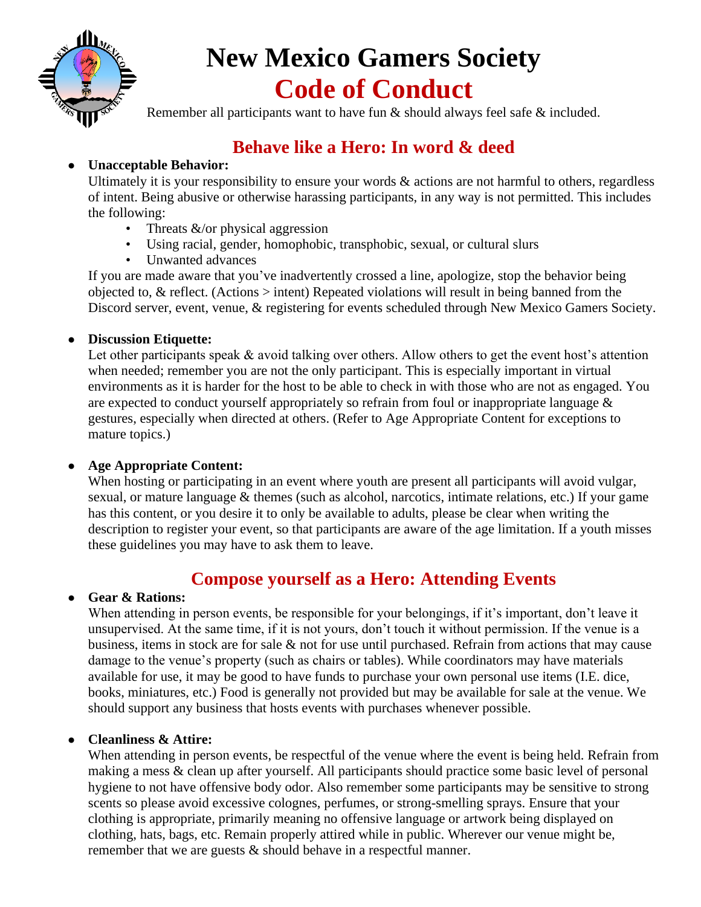

# **New Mexico Gamers Society Code of Conduct**

Remember all participants want to have fun & should always feel safe & included.

## **Behave like a Hero: In word & deed**

### ● **Unacceptable Behavior:**

Ultimately it is your responsibility to ensure your words  $\&$  actions are not harmful to others, regardless of intent. Being abusive or otherwise harassing participants, in any way is not permitted. This includes the following:

- Threats  $&\&/$  or physical aggression
- Using racial, gender, homophobic, transphobic, sexual, or cultural slurs
- Unwanted advances

If you are made aware that you've inadvertently crossed a line, apologize, stop the behavior being objected to, & reflect. (Actions > intent) Repeated violations will result in being banned from the Discord server, event, venue, & registering for events scheduled through New Mexico Gamers Society.

### ● **Discussion Etiquette:**

Let other participants speak & avoid talking over others. Allow others to get the event host's attention when needed; remember you are not the only participant. This is especially important in virtual environments as it is harder for the host to be able to check in with those who are not as engaged. You are expected to conduct yourself appropriately so refrain from foul or inappropriate language  $\&$ gestures, especially when directed at others. (Refer to Age Appropriate Content for exceptions to mature topics.)

### ● **Age Appropriate Content:**

When hosting or participating in an event where youth are present all participants will avoid vulgar, sexual, or mature language & themes (such as alcohol, narcotics, intimate relations, etc.) If your game has this content, or you desire it to only be available to adults, please be clear when writing the description to register your event, so that participants are aware of the age limitation. If a youth misses these guidelines you may have to ask them to leave.

### **Compose yourself as a Hero: Attending Events**

### ● **Gear & Rations:**

When attending in person events, be responsible for your belongings, if it's important, don't leave it unsupervised. At the same time, if it is not yours, don't touch it without permission. If the venue is a business, items in stock are for sale & not for use until purchased. Refrain from actions that may cause damage to the venue's property (such as chairs or tables). While coordinators may have materials available for use, it may be good to have funds to purchase your own personal use items (I.E. dice, books, miniatures, etc.) Food is generally not provided but may be available for sale at the venue. We should support any business that hosts events with purchases whenever possible.

### ● **Cleanliness & Attire:**

When attending in person events, be respectful of the venue where the event is being held. Refrain from making a mess & clean up after yourself. All participants should practice some basic level of personal hygiene to not have offensive body odor. Also remember some participants may be sensitive to strong scents so please avoid excessive colognes, perfumes, or strong-smelling sprays. Ensure that your clothing is appropriate, primarily meaning no offensive language or artwork being displayed on clothing, hats, bags, etc. Remain properly attired while in public. Wherever our venue might be, remember that we are guests & should behave in a respectful manner.